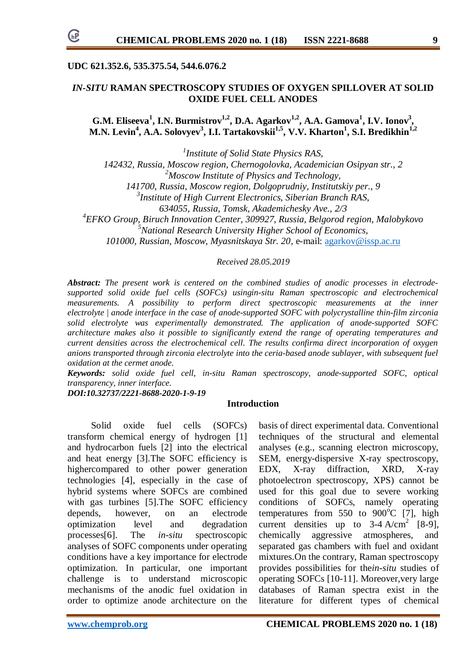## **UDC 621.352.6, 535.375.54, 544.6.076.2**

# *IN-SITU* **RAMAN SPECTROSCOPY STUDIES OF OXYGEN SPILLOVER AT SOLID OXIDE FUEL CELL ANODES**

**G.M. Eliseeva<sup>1</sup> , I.N. Burmistrov1,2, D.A. Agarkov1,2, A.A. Gamova<sup>1</sup> , I.V. Ionov<sup>3</sup> , M.N. Levin<sup>4</sup> , A.A. Solovyev<sup>3</sup> , I.I. Tartakovskii1,5, V.V. Kharton<sup>1</sup> , S.I. Bredikhin1,2**

*1 Institute of Solid State Physics RAS, 142432, Russia, Moscow region, Chernogolovka, Academician Osipyan str., 2*

*<sup>2</sup>Moscow Institute of Physics and Technology,*

*141700, Russia, Moscow region, Dolgoprudniy, Institutskiy per., 9*

*3 Institute of High Current Electronics, Siberian Branch RAS,*

*634055, Russia, Tomsk, Akademichesky Ave., 2/3*

*4 EFKO Group, Biruch Innovation Center, 309927, Russia, Belgorod region, Malobykovo*

*<sup>5</sup>National Research University Higher School of Economics,*

*101000, Russian, Moscow, Myasnitskaya Str. 20*, e-mail: [agarkov@issp.ac.ru](mailto:agarkov@issp.ac.ru)

*Received 28.05.2019*

*Abstract: The present work is centered on the combined studies of anodic processes in electrodesupported solid oxide fuel cells (SOFCs) usingin-situ Raman spectroscopic and electrochemical measurements. A possibility to perform direct spectroscopic measurements at the inner electrolyte | anode interface in the case of anode-supported SOFC with polycrystalline thin-film zirconia solid electrolyte was experimentally demonstrated. The application of anode-supported SOFC architecture makes also it possible to significantly extend the range of operating temperatures and current densities across the electrochemical cell. The results confirma direct incorporation of oxygen anions transported through zirconia electrolyte into the ceria-based anode sublayer, with subsequent fuel oxidation at the cermet anode.*

*Keywords: solid oxide fuel cell, in-situ Raman spectroscopy, anode-supported SOFC, optical transparency, inner interface.*

*DOI:10.32737/2221-8688-2020-1-9-19*

## **Introduction**

 Solid oxide fuel cells (SOFCs) transform chemical energy of hydrogen [1] and hydrocarbon fuels [2] into the electrical and heat energy [3].The SOFC efficiency is highercompared to other power generation technologies [4], especially in the case of hybrid systems where SOFCs are combined with gas turbines [5].The SOFC efficiency depends, however, on an electrode optimization level and degradation processes[6]. The *in-situ* spectroscopic analyses of SOFC components under operating conditions have a key importance for electrode optimization. In particular, one important challenge is to understand microscopic mechanisms of the anodic fuel oxidation in order to optimize anode architecture on the

basis of direct experimental data. Conventional techniques of the structural and elemental analyses (e.g., scanning electron microscopy, SEM, energy-dispersive X-ray spectroscopy, EDX, X-ray diffraction, XRD, X-ray photoelectron spectroscopy, XPS) cannot be used for this goal due to severe working conditions of SOFCs, namely operating temperatures from  $550$  to  $900^{\circ}$ C [7], high current densities up to  $3-4$  A/cm<sup>2</sup> [8-9], chemically aggressive atmospheres, and separated gas chambers with fuel and oxidant mixtures.On the contrary, Raman spectroscopy provides possibilities for the*in-situ* studies of operating SOFCs [10-11]. Moreover,very large databases of Raman spectra exist in the literature for different types of chemical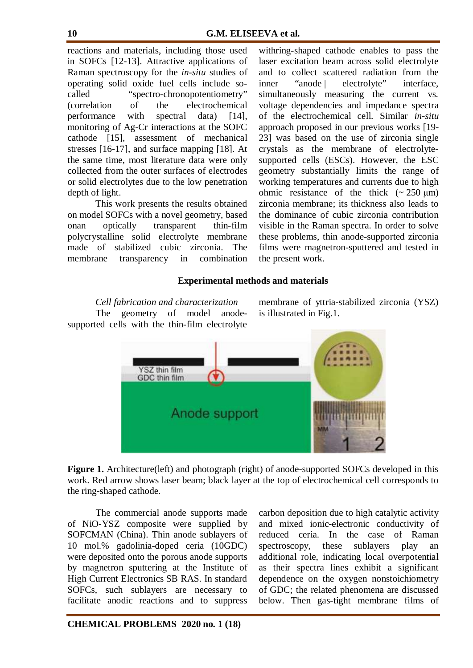reactions and materials, including those used in SOFCs [12-13]. Attractive applications of Raman spectroscopy for the *in-situ* studies of operating solid oxide fuel cells include socalled "spectro-chronopotentiometry" (correlation of the electrochemical performance with spectral data) [14], monitoring of Ag-Cr interactions at the SOFC cathode [15], assessment of mechanical stresses [16-17], and surface mapping [18]. At the same time, most literature data were only collected from the outer surfaces of electrodes or solid electrolytes due to the low penetration depth of light.

This work presents the results obtained on model SOFCs with a novel geometry, based onan optically transparent thin-film polycrystalline solid electrolyte membrane made of stabilized cubic zirconia. The membrane transparency in combination withring-shaped cathode enables to pass the laser excitation beam across solid electrolyte and to collect scattered radiation from the inner "anode | electrolyte" interface, simultaneously measuring the current vs. voltage dependencies and impedance spectra of the electrochemical cell. Similar *in-situ* approach proposed in our previous works [19- 23] was based on the use of zirconia single crystals as the membrane of electrolytesupported cells (ESCs). However, the ESC geometry substantially limits the range of working temperatures and currents due to high ohmic resistance of the thick  $\sim 250 \text{ }\mu\text{m}$ ) zirconia membrane; its thickness also leads to the dominance of cubic zirconia contribution visible in the Raman spectra. In order to solve these problems, thin anode-supported zirconia films were magnetron-sputtered and tested in the present work.

## **Experimental methods and materials**

*Cell fabrication and characterization* The geometry of model anodesupported cells with the thin-film electrolyte membrane of yttria-stabilized zirconia (YSZ) is illustrated in Fig.1.



**Figure 1.** Architecture(left) and photograph (right) of anode-supported SOFCs developed in this work. Red arrow shows laser beam; black layer at the top of electrochemical cell corresponds to the ring-shaped cathode.

The commercial anode supports made of NiO-YSZ composite were supplied by SOFCMAN (China). Thin anode sublayers of 10 mol.% gadolinia-doped ceria (10GDC) were deposited onto the porous anode supports by magnetron sputtering at the Institute of High Current Electronics SB RAS. In standard SOFCs, such sublayers are necessary to facilitate anodic reactions and to suppress carbon deposition due to high catalytic activity and mixed ionic-electronic conductivity of reduced ceria. In the case of Raman spectroscopy, these sublayers play an additional role, indicating local overpotential as their spectra lines exhibit a significant dependence on the oxygen nonstoichiometry of GDC; the related phenomena are discussed below. Then gas-tight membrane films of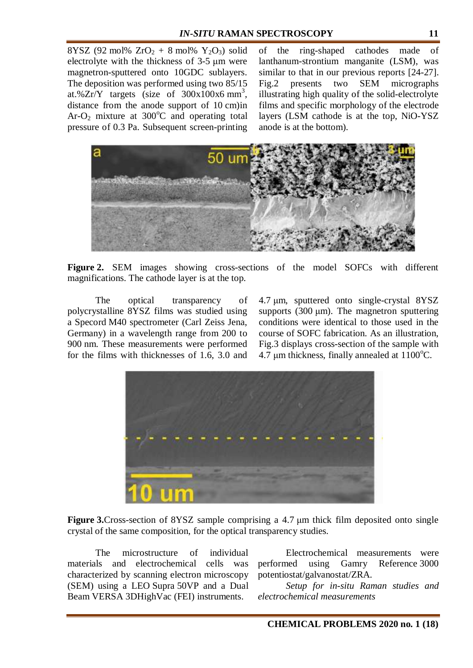8YSZ (92 mol%  $ZrO_2 + 8$  mol%  $Y_2O_3$ ) solid electrolyte with the thickness of 3-5 μm were magnetron-sputtered onto 10GDC sublayers. The deposition was performed using two 85/15 at.% $Zr/Y$  targets (size of 300x100x6 mm<sup>3</sup>, distance from the anode support of 10 cm)in Ar-O<sub>2</sub> mixture at  $300^{\circ}$ C and operating total pressure of 0.3 Pa. Subsequent screen-printing

of the ring-shaped cathodes made of lanthanum-strontium manganite (LSM), was similar to that in our previous reports [24-27]. Fig.2 presents two SEM micrographs illustrating high quality of the solid-electrolyte films and specific morphology of the electrode layers (LSM cathode is at the top, NiO-YSZ anode is at the bottom).



**Figure 2.** SEM images showing cross-sections of the model SOFCs with different magnifications. The cathode layer is at the top.

The optical transparency of polycrystalline 8YSZ films was studied using a Specord M40 spectrometer (Carl Zeiss Jena, Germany) in a wavelength range from 200 to 900 nm. These measurements were performed for the films with thicknesses of 1.6, 3.0 and

4.7 μm, sputtered onto single-crystal 8YSZ supports (300  $\mu$ m). The magnetron sputtering conditions were identical to those used in the course of SOFC fabrication. As an illustration, Fig.3 displays cross-section of the sample with 4.7  $\mu$ m thickness, finally annealed at 1100 $\rm ^{o}C$ .



**Figure 3.**Cross-section of 8YSZ sample comprising a 4.7 μm thick film deposited onto single crystal of the same composition, for the optical transparency studies.

The microstructure of individual materials and electrochemical cells was characterized by scanning electron microscopy (SEM) using a LEO Supra 50VP and a Dual Beam VERSA 3DHighVac (FEI) instruments.

Electrochemical measurements were performed using Gamry Reference 3000 potentiostat/galvanostat/ZRA.

*Setup for in-situ Raman studies and electrochemical measurements*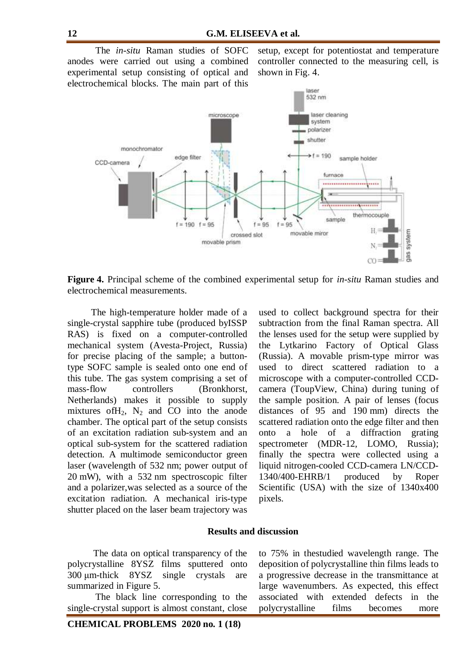The *in-situ* Raman studies of SOFC anodes were carried out using a combined experimental setup consisting of optical and electrochemical blocks. The main part of this

setup, except for potentiostat and temperature controller connected to the measuring cell, is shown in Fig. 4.



**Figure 4.** Principal scheme of the combined experimental setup for *in-situ* Raman studies and electrochemical measurements.

 The high-temperature holder made of a single-crystal sapphire tube (produced byISSP RAS) is fixed on a computer-controlled mechanical system (Avesta-Project, Russia) for precise placing of the sample; a buttontype SOFC sample is sealed onto one end of this tube. The gas system comprising a set of mass-flow controllers (Bronkhorst, Netherlands) makes it possible to supply mixtures of  $H_2$ ,  $N_2$  and CO into the anode chamber. The optical part of the setup consists of an excitation radiation sub-system and an optical sub-system for the scattered radiation detection. A multimode semiconductor green laser (wavelength of 532 nm; power output of 20 mW), with a 532 nm spectroscopic filter and a polarizer,was selected as a source of the excitation radiation. A mechanical iris-type shutter placed on the laser beam trajectory was used to collect background spectra for their subtraction from the final Raman spectra. All the lenses used for the setup were supplied by the Lytkarino Factory of Optical Glass (Russia). A movable prism-type mirror was used to direct scattered radiation to a microscope with a computer-controlled CCDcamera (ToupView, China) during tuning of the sample position. A pair of lenses (focus distances of 95 and 190 mm) directs the scattered radiation onto the edge filter and then onto a hole of a diffraction grating spectrometer (MDR-12, LOMO, Russia); finally the spectra were collected using a liquid nitrogen-cooled CCD-camera LN/CCD-1340/400-EHRB/1 produced by Roper Scientific (USA) with the size of 1340x400 pixels.

#### **Results and discussion**

 The data on optical transparency of the polycrystalline 8YSZ films sputtered onto 300 μm-thick 8YSZ single crystals are summarized in Figure 5.

The black line corresponding to the single-crystal support is almost constant, close to 75% in thestudied wavelength range. The deposition of polycrystalline thin films leads to a progressive decrease in the transmittance at large wavenumbers. As expected, this effect associated with extended defects in the polycrystalline films becomes more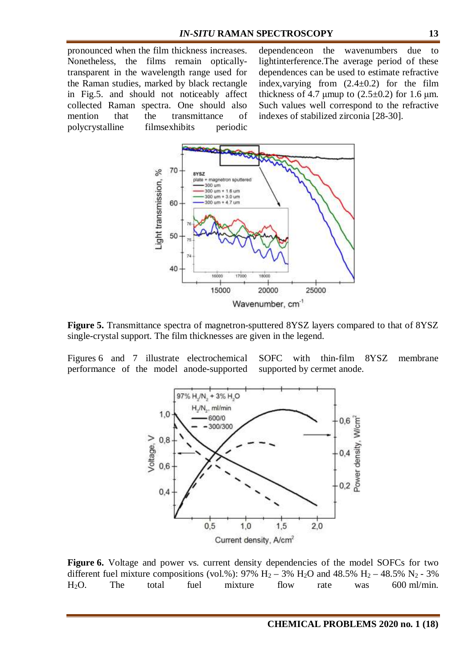pronounced when the film thickness increases. Nonetheless, the films remain opticallytransparent in the wavelength range used for the Raman studies, marked by black rectangle in Fig.5. and should not noticeably affect collected Raman spectra. One should also mention that the transmittance of polycrystalline filmsexhibits periodic dependenceon the wavenumbers due to lightinterference.The average period of these dependences can be used to estimate refractive index, varying from  $(2.4\pm0.2)$  for the film thickness of 4.7 μmup to  $(2.5\pm0.2)$  for 1.6 μm. Such values well correspond to the refractive indexes of stabilized zirconia [28-30].



**Figure 5.** Transmittance spectra of magnetron-sputtered 8YSZ layers compared to that of 8YSZ single-crystal support. The film thicknesses are given in the legend.

Figures 6 and 7 illustrate electrochemical performance of the model anode-supported SOFC with thin-film 8YSZ membrane supported by cermet anode.



Figure 6. Voltage and power vs. current density dependencies of the model SOFCs for two different fuel mixture compositions (vol.%): 97%  $H_2 - 3% H_2O$  and 48.5%  $H_2 - 48.5% N_2 - 3%$ H2O. The total fuel mixture flow rate was 600 ml/min.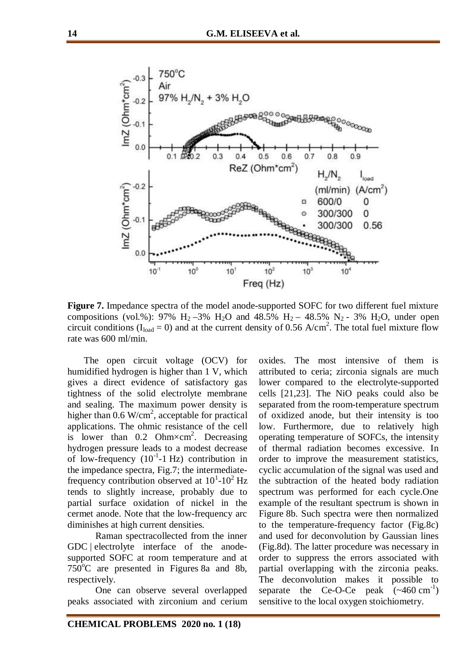

**Figure 7.** Impedance spectra of the model anode-supported SOFC for two different fuel mixture compositions (vol.%): 97%  $H_2 - 3% H_2O$  and 48.5%  $H_2 - 48.5% N_2 - 3% H_2O$ , under open circuit conditions ( $I_{load} = 0$ ) and at the current density of 0.56 A/cm<sup>2</sup>. The total fuel mixture flow rate was 600 ml/min.

 The open circuit voltage (OCV) for humidified hydrogen is higher than 1 V, which gives a direct evidence of satisfactory gas tightness of the solid electrolyte membrane and sealing. The maximum power density is higher than  $0.6 \text{ W/cm}^2$ , acceptable for practical applications. The ohmic resistance of the cell is lower than  $0.2$  Ohm $\times$ cm<sup>2</sup>. Decreasing hydrogen pressure leads to a modest decrease of low-frequency  $(10^{-1} - 1)$  Hz contribution in the impedance spectra, Fig.7; the intermediatefrequency contribution observed at  $10^{1}$ - $10^{2}$  Hz tends to slightly increase, probably due to partial surface oxidation of nickel in the cermet anode. Note that the low-frequency arc diminishes at high current densities.

Raman spectracollected from the inner GDC | electrolyte interface of the anodesupported SOFC at room temperature and at  $750^{\circ}$ C are presented in Figures 8a and 8b, respectively.

One can observe several overlapped peaks associated with zirconium and cerium oxides. The most intensive of them is attributed to ceria; zirconia signals are much lower compared to the electrolyte-supported cells [21,23]. The NiO peaks could also be separated from the room-temperature spectrum of oxidized anode, but their intensity is too low. Furthermore, due to relatively high operating temperature of SOFCs, the intensity of thermal radiation becomes excessive. In order to improve the measurement statistics, cyclic accumulation of the signal was used and the subtraction of the heated body radiation spectrum was performed for each cycle.One example of the resultant spectrum is shown in Figure 8b. Such spectra were then normalized to the temperature-frequency factor (Fig.8c) and used for deconvolution by Gaussian lines (Fig.8d). The latter procedure was necessary in order to suppress the errors associated with partial overlapping with the zirconia peaks. The deconvolution makes it possible to separate the Ce-O-Ce peak  $(\sim 460 \text{ cm}^{-1})$ sensitive to the local oxygen stoichiometry.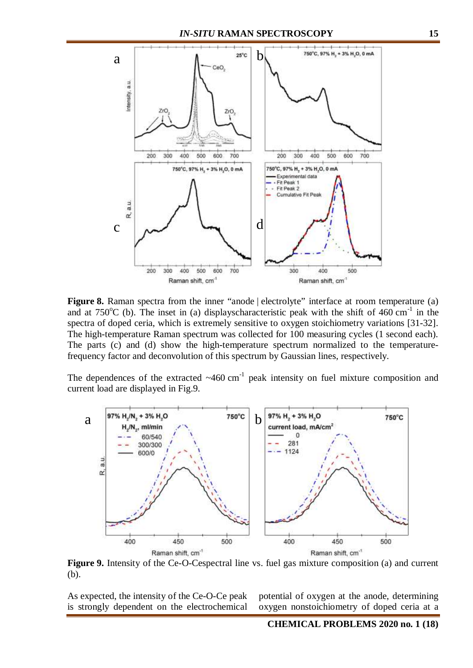

**Figure 8.** Raman spectra from the inner "anode | electrolyte" interface at room temperature (a) and at  $750^{\circ}$ C (b). The inset in (a) displayscharacteristic peak with the shift of 460 cm<sup>-1</sup> in the spectra of doped ceria, which is extremely sensitive to oxygen stoichiometry variations [31-32]. The high-temperature Raman spectrum was collected for 100 measuring cycles (1 second each). The parts (c) and (d) show the high-temperature spectrum normalized to the temperaturefrequency factor and deconvolution of this spectrum by Gaussian lines, respectively.

The dependences of the extracted  $~460$  cm<sup>-1</sup> peak intensity on fuel mixture composition and current load are displayed in Fig.9.



**Figure 9.** Intensity of the Ce-O-Cespectral line vs. fuel gas mixture composition (a) and current (b).

As expected, the intensity of the Ce-O-Ce peak is strongly dependent on the electrochemical potential of oxygen at the anode, determining oxygen nonstoichiometry of doped ceria at a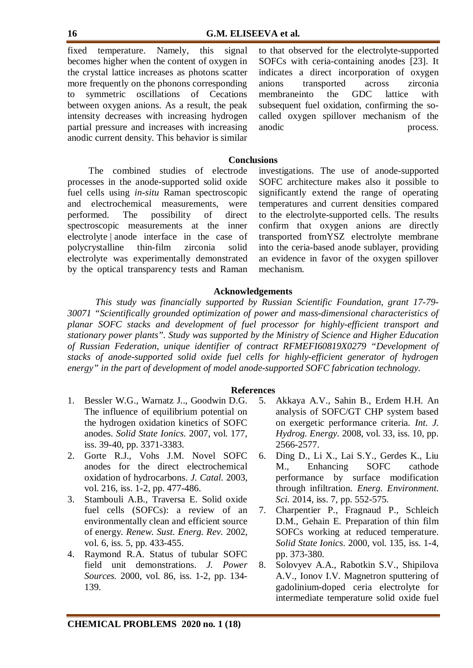fixed temperature. Namely, this signal becomes higher when the content of oxygen in the crystal lattice increases as photons scatter more frequently on the phonons corresponding to symmetric oscillations of Cecations between oxygen anions. As a result, the peak intensity decreases with increasing hydrogen partial pressure and increases with increasing anodic current density. This behavior is similar to that observed for the electrolyte-supported SOFCs with ceria-containing anodes [23]. It indicates a direct incorporation of oxygen anions transported across zirconia membraneinto the GDC lattice with subsequent fuel oxidation, confirming the socalled oxygen spillover mechanism of the anodic process.

## **Conclusions**

 The combined studies of electrode processes in the anode-supported solid oxide fuel cells using *in-situ* Raman spectroscopic and electrochemical measurements, were performed. The possibility of direct spectroscopic measurements at the inner electrolyte | anode interface in the case of polycrystalline thin-film zirconia solid electrolyte was experimentally demonstrated by the optical transparency tests and Raman investigations. The use of anode-supported SOFC architecture makes also it possible to significantly extend the range of operating temperatures and current densities compared to the electrolyte-supported cells. The results confirm that oxygen anions are directly transported fromYSZ electrolyte membrane into the ceria-based anode sublayer, providing an evidence in favor of the oxygen spillover mechanism.

## **Acknowledgements**

*This study was financially supported by Russian Scientific Foundation, grant 17-79- 30071 "Scientifically grounded optimization of power and mass-dimensional characteristics of planar SOFC stacks and development of fuel processor for highly-efficient transport and stationary power plants". Study was supported by the Ministry of Science and Higher Education of Russian Federation, unique identifier of contract RFMEFI60819X0279 "Development of stacks of anode-supported solid oxide fuel cells for highly-efficient generator of hydrogen energy" in the part of development of model anode-supported SOFC fabrication technology.*

#### **References**

- 1. Bessler W.G., Warnatz J.., Goodwin D.G. The influence of equilibrium potential on the hydrogen oxidation kinetics of SOFC anodes. *Solid State Ionics.* 2007, vol. 177, iss. 39-40, pp. 3371-3383.
- 2. Gorte R.J., Vohs J.M. Novel SOFC anodes for the direct electrochemical oxidation of hydrocarbons. *J. Catal.* 2003, vol. 216, iss. 1-2, pp. 477-486.
- 3. Stambouli A.B., Traversa E. Solid oxide fuel cells (SOFCs): a review of an environmentally clean and efficient source of energy. *Renew. Sust. Energ. Rev.* 2002, vol. 6, iss. 5, pp. 433-455.
- 4. Raymond R.A. Status of tubular SOFC field unit demonstrations. *J. Power Sources.* 2000, vol. 86, iss. 1-2, pp. 134- 139.
- 5. Akkaya A.V., Sahin B., Erdem H.H. An analysis of SOFC/GT CHP system based on exergetic performance criteria. *Int. J. Hydrog. Energy.* 2008, vol. 33, iss. 10, pp. 2566-2577.
- 6. Ding D., Li X., Lai S.Y., Gerdes K., Liu M., Enhancing SOFC cathode performance by surface modification through infiltration. *Energ. Environment. Sci.* 2014, iss. 7, pp. 552-575.
- 7. Charpentier P., Fragnaud P., Schleich D.M., Gehain E. Preparation of thin film SOFCs working at reduced temperature. *Solid State Ionics.* 2000, vol. 135, iss. 1-4, pp. 373-380.
- 8. Solovyev A.A., Rabotkin S.V., Shipilova A.V., Ionov I.V. Magnetron sputtering of gadolinium-doped ceria electrolyte for intermediate temperature solid oxide fuel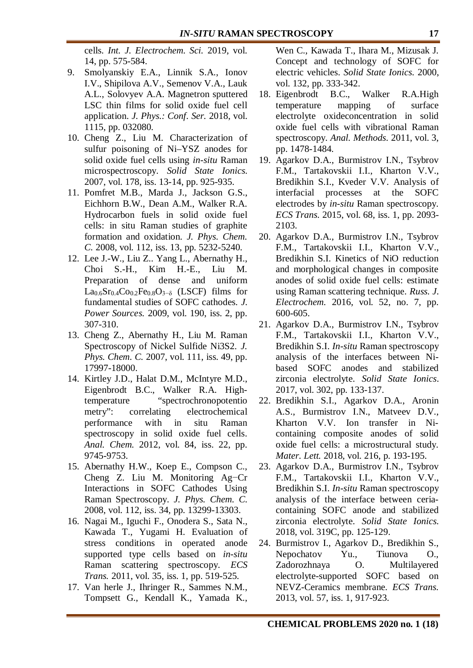cells. *Int. J. Electrochem. Sci.* 2019, vol. 14, pp. 575-584.

- 9. Smolyanskiy E.A., Linnik S.A., Ionov I.V., Shipilova A.V., Semenov V.A., Lauk A.L., Solovyev A.A. Magnetron sputtered LSC thin films for solid oxide fuel cell application. *J. Phys.: Conf. Ser.* 2018, vol. 1115, pp. 032080.
- 10. Cheng Z., Liu M. Characterization of sulfur poisoning of Ni–YSZ anodes for solid oxide fuel cells using *in-situ* Raman microspectroscopy. *Solid State Ionics.* 2007, vol. 178, iss. 13-14, pp. 925-935.
- 11. Pomfret M.B., Marda J., Jackson G.S., Eichhorn B.W., Dean A.M., Walker R.A. Hydrocarbon fuels in solid oxide fuel cells: in situ Raman studies of graphite formation and oxidation. *J. Phys. Chem. C.* 2008, vol. 112, iss. 13, pp. 5232-5240.
- 12. Lee J.-W., Liu Z.. Yang L., Abernathy H., Choi S.-H., Kim H.-E., Liu M. Preparation of dense and uniform  $La<sub>0.6</sub>Sr<sub>0.4</sub>Co<sub>0.2</sub>Fe<sub>0.8</sub>O<sub>3−δ</sub>$  (LSCF) films for fundamental studies of SOFC cathodes. *J. Power Sources.* 2009, vol. 190, iss. 2, pp. 307-310.
- 13. Cheng Z., Abernathy H., Liu M. Raman Spectroscopy of Nickel Sulfide Ni3S2. *J. Phys. Chem. C.* 2007, vol. 111, iss. 49, pp. 17997-18000.
- 14. Kirtley J.D., Halat D.M., McIntyre M.D., Eigenbrodt B.C., Walker R.A. Hightemperature "spectrochronopotentio metry": correlating electrochemical performance with in situ Raman spectroscopy in solid oxide fuel cells. *Anal. Chem.* 2012, vol. 84, iss. 22, pp. 9745-9753.
- 15. Abernathy H.W., Koep E., Compson C., Cheng Z. Liu M. Monitoring Ag−Cr Interactions in SOFC Cathodes Using Raman Spectroscopy. *J. Phys. Chem. C.* 2008, vol. 112, iss. 34, pp. 13299-13303.
- 16. Nagai M., Iguchi F., Onodera S., Sata N., Kawada T., Yugami H. Evaluation of stress conditions in operated anode supported type cells based on *in-situ* Raman scattering spectroscopy. *ECS Trans.* 2011, vol. 35, iss. 1, pp. 519-525.
- 17. Van herle J., Ihringer R., Sammes N.M., Tompsett G., Kendall K., Yamada K.,

Wen C., Kawada T., Ihara M., Mizusak J. Concept and technology of SOFC for electric vehicles. *Solid State Ionics.* 2000, vol. 132, pp. 333-342.

- 18. Eigenbrodt B.C., Walker R.A.High temperature mapping of surface electrolyte oxideconcentration in solid oxide fuel cells with vibrational Raman spectroscopy. *Anal. Methods.* 2011, vol. 3, pp. 1478-1484.
- 19. Agarkov D.A., Burmistrov I.N., Tsybrov F.M., Tartakovskii I.I., Kharton V.V., Bredikhin S.I., Kveder V.V. Analysis of interfacial processes at the SOFC electrodes by *in-situ* Raman spectroscopy. *ECS Trans.* 2015, vol. 68, iss. 1, pp. 2093- 2103.
- 20. Agarkov D.A., Burmistrov I.N., Tsybrov F.M., Tartakovskii I.I., Kharton V.V., Bredikhin S.I. Kinetics of NiO reduction and morphological changes in composite anodes of solid oxide fuel cells: estimate using Raman scattering technique. *Russ. J. Electrochem.* 2016, vol. 52, no. 7, pp. 600-605.
- 21. Agarkov D.A., Burmistrov I.N., Tsybrov F.M., Tartakovskii I.I., Kharton V.V., Bredikhin S.I. *In-situ* Raman spectroscopy analysis of the interfaces between Nibased SOFC anodes and stabilized zirconia electrolyte. *Solid State Ionics*. 2017, vol. 302, pp. 133-137.
- 22. Bredikhin S.I., Agarkov D.A., Aronin A.S., Burmistrov I.N., Matveev D.V., Kharton V.V. Ion transfer in Nicontaining composite anodes of solid oxide fuel cells: a microstructural study. *Mater. Lett.* 2018, vol. 216, p. 193-195.
- 23. Agarkov D.A., Burmistrov I.N., Tsybrov F.M., Tartakovskii I.I., Kharton V.V., Bredikhin S.I. *In-situ* Raman spectroscopy analysis of the interface between ceriacontaining SOFC anode and stabilized zirconia electrolyte. *Solid State Ionics.* 2018, vol. 319C, pp. 125-129.
- 24. Burmistrov I., Agarkov D., Bredikhin S., Nepochatov Yu., Tiunova O., Zadorozhnaya O. Multilayered electrolyte-supported SOFC based on NEVZ-Ceramics membrane. *ECS Trans.* 2013, vol. 57, iss. 1, 917-923.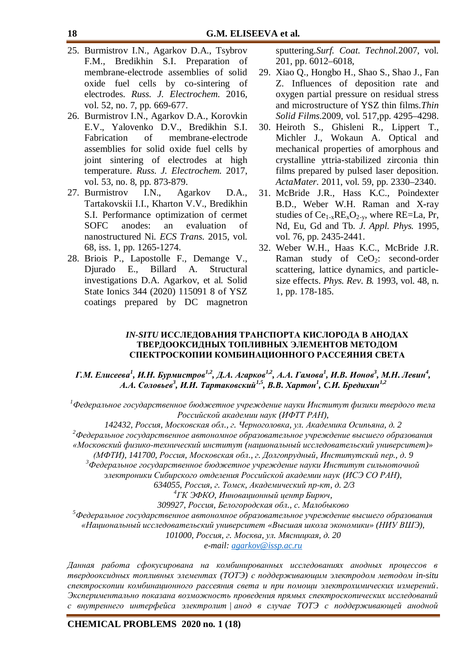- 25. Burmistrov I.N., Agarkov D.A., Tsybrov F.M., Bredikhin S.I. Preparation of membrane-electrode assemblies of solid oxide fuel cells by co-sintering of electrodes. *Russ. J. Electrochem.* 2016, vol. 52, no. 7, pp. 669-677.
- 26. Burmistrov I.N., Agarkov D.A., Korovkin E.V., Yalovenko D.V., Bredikhin S.I. Fabrication of membrane-electrode assemblies for solid oxide fuel cells by joint sintering of electrodes at high temperature. *Russ. J. Electrochem.* 2017, vol. 53, no. 8, pp. 873-879.
- 27. Burmistrov I.N., Agarkov D.A., Tartakovskii I.I., Kharton V.V., Bredikhin S.I. Performance optimization of cermet SOFC anodes: an evaluation of nanostructured Ni. *ECS Trans.* 2015, vol. 68, iss. 1, pp. 1265-1274.
- 28. Briois P., Lapostolle F., Demange V., Djurado E., Billard A. Structural investigations D.A. Agarkov, et al. Solid State Ionics 344 (2020) 115091 8 of YSZ coatings prepared by DC magnetron

sputtering.*Surf. Coat. Technol.*2007, vol. 201, pp. 6012–6018,

- 29. Xiao Q., Hongbo H., Shao S., Shao J., Fan Z. Influences of deposition rate and oxygen partial pressure on residual stress and microstructure of YSZ thin films.*Thin Solid Films*.2009, vol. 517,pp. 4295–4298.
- 30. Heiroth S., Ghisleni R., Lippert T., Michler J., Wokaun A. Optical and mechanical properties of amorphous and crystalline yttria-stabilized zirconia thin films prepared by pulsed laser deposition. *ActaMater.* 2011, vol. 59, pp. 2330–2340.
- 31. McBride J.R., Hass K.C., Poindexter B.D., Weber W.H. Raman and X-ray studies of  $Ce_{1-x}RE_xO_{2-y}$ , where RE=La, Pr, Nd, Eu, Gd and Tb. *J. Appl. Phys.* 1995, vol. 76, pp. 2435-2441.
- 32. Weber W.H., Haas K.C., McBride J.R. Raman study of  $CeO<sub>2</sub>$ : second-order scattering, lattice dynamics, and particlesize effects. *Phys. Rev. B.* 1993, vol. 48, n. 1, pp. 178-185.

#### *IN-SITU* **ИССЛЕДОВАНИЯ ТРАНСПОРТА КИСЛОРОДА В АНОДАХ ТВЕРДООКСИДНЫХ ТОПЛИВНЫХ ЭЛЕМЕНТОВ МЕТОДОМ СПЕКТРОСКОПИИ КОМБИНАЦИОННОГО РАССЕЯНИЯ СВЕТА**

Г.М. Елисеева<sup>1</sup>, И.Н. Бурмистров<sup>1,2</sup>, Д.А. Агарков<sup>1,2</sup>, А.А. Гамова<sup>1</sup>, И.В. Ионов<sup>3</sup>, М.Н. Левин<sup>4</sup>, *А.А. Соловьев<sup>3</sup> , И.И. Тартаковский1,5 , В.В. Хартон<sup>1</sup> , С.И. Бредихин1,2*

*<sup>1</sup>Федеральное государственное бюджетное учреждение науки Институт физики твердого тела Российской академии наук (ИФТТ РАН),*

*142432, Россия, Московская обл., г. Черноголовка, ул. Академика Осипьяна, д. 2 <sup>2</sup>Федеральное государственное автономное образовательное учреждение высшего образования «Московский физико-технический институт (национальный исследовательский университет)» (МФТИ), 141700, Россия, Московская обл., г. Долгопрудный, Институтский пер., д. 9*

*<sup>3</sup>Федеральное государственное бюджетное учреждение науки Институт сильноточной*

*электроники Сибирского отделения Российской академии наук (ИСЭ СО РАН),*

 *634055, Россия, г. Томск, Академический пр-кт, д. 2/3*

*4 ГК ЭФКО, Инновационный центр Бирюч,*

*309927, Россия, Белогородская обл., с. Малобыково*

*<sup>5</sup>Федеральное государственное автономное образовательное учреждение высшего образования «Национальный исследовательский университет «Высшая школа экономики» (НИУ ВШЭ), 101000, Россия, г. Москва, ул. Мясницкая, д. 20 e-mail: [agarkov@issp.ac.ru](mailto:agarkov@issp.ac.ru)*

*Данная работа сфокусирована на комбинированных исследованиях анодных процессов в твердооксидных топливных элементах (ТОТЭ) с поддерживающим электродом методом in-situ спектроскопии комбинационного рассеяния света и при помощи электрохимических измерений. Экспериментально показана возможность проведения прямых спектроскопических исследований с внутреннего интерфейса электролит | анод в случае ТОТЭ с поддерживающей анодной*